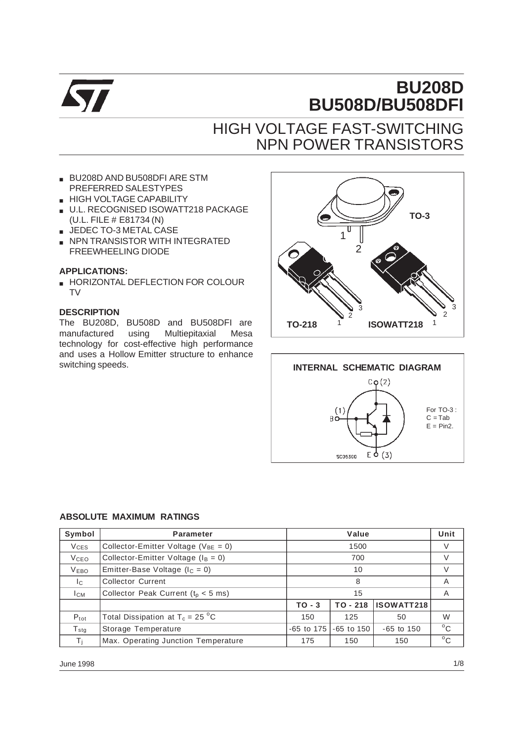

# **BU208D BU508D/BU508DFI**

# HIGH VOLTAGE FAST-SWITCHING NPN POWER TRANSISTORS

- BU208D AND BU508DFI ARE STM PREFERRED SALESTYPES
- **B** HIGH VOLTAGE CAPABILITY
- U.L. RECOGNISED ISOWATT218 PACKAGE (U.L. FILE # E81734 (N)
- JEDEC TO-3 METAL CASE
- NPN TRANSISTOR WITH INTEGRATED FREEWHEELING DIODE

#### **APPLICATIONS:**

■ HORIZONTAL DEFLECTION FOR COLOUR TV

#### **DESCRIPTION**

The BU208D, BU508D and BU508DFI are manufactured using Multiepitaxial Mesa technology for cost-effective high performance and uses a Hollow Emitter structure to enhance switching speeds.





#### **ABSOLUTE MAXIMUM RATINGS**

| Symbol                 | <b>Parameter</b>                           |                                                  | Unit         |    |              |
|------------------------|--------------------------------------------|--------------------------------------------------|--------------|----|--------------|
| <b>V<sub>CES</sub></b> | Collector-Emitter Voltage ( $V_{BE} = 0$ ) |                                                  | V            |    |              |
| V <sub>CEO</sub>       | Collector-Emitter Voltage ( $I_B = 0$ )    | 700                                              |              |    | $\vee$       |
| <b>VEBO</b>            | Emitter-Base Voltage ( $I_c = 0$ )         |                                                  | V            |    |              |
| Ic.                    | <b>Collector Current</b>                   | 8                                                |              |    | A            |
| Iсм                    | Collector Peak Current ( $t_0$ < 5 ms)     |                                                  | A            |    |              |
|                        |                                            | ISOWATT218<br>$TO - 218$<br>$TO - 3$             |              |    |              |
| $P_{\text{tot}}$       | Total Dissipation at $T_c = 25 \degree C$  | 150                                              | 125          | 50 | W            |
| $T_{\rm stg}$          | Storage Temperature                        | $-65$ to $150$<br>$-65$ to 175<br>$-65$ to $150$ |              |    | $^{\circ}$ C |
| Τi                     | Max. Operating Junction Temperature        | 175                                              | $^{\circ}$ C |    |              |

June 1998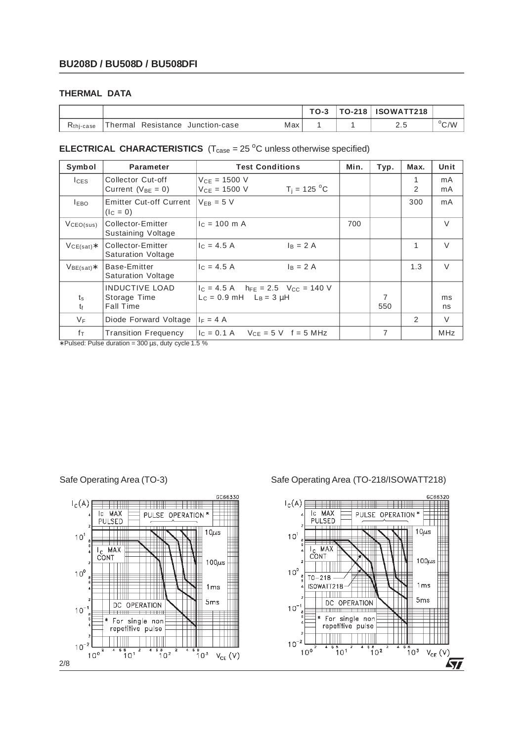### **THERMAL DATA**

|               |                                          |     | $TO-3$ | TO-218 | <b>ISOWATT218</b> |              |
|---------------|------------------------------------------|-----|--------|--------|-------------------|--------------|
| $Rthi - case$ | Thermal .<br>Resistance<br>Junction-case | Max |        |        | د . ک             | $\rm{^o}C/W$ |

#### **ELECTRICAL CHARACTERISTICS**  $(T_{\text{case}} = 25 \text{ °C}$  unless otherwise specified)

| Symbol                     | <b>Parameter</b>                                          | <b>Test Conditions</b>                                                       | Min. | Typ.     | Max.          | Unit       |
|----------------------------|-----------------------------------------------------------|------------------------------------------------------------------------------|------|----------|---------------|------------|
| $l$ <sub>CES</sub>         | Collector Cut-off<br>Current ( $V_{BE} = 0$ )             | $V_{CE} = 1500 V$<br>$T_i = 125 °C$<br>$V_{CF} = 1500 V$                     |      |          | 1<br>2        | mA<br>mA   |
| <b>LEBO</b>                | <b>Emitter Cut-off Current</b><br>$(IC = 0)$              | $V_{FB} = 5 V$                                                               |      |          | 300           | mA         |
| VCEO(sus)                  | Collector-Emitter<br>Sustaining Voltage                   | $c = 100$ m A                                                                | 700  |          |               | $\vee$     |
| $VCE(sat)*$                | Collector-Emitter<br><b>Saturation Voltage</b>            | $c = 4.5 A$<br>$I_B = 2A$                                                    |      |          | 1             | $\vee$     |
| $V_{BE(sat)}$ *            | Base-Emitter<br>Saturation Voltage                        | $I_C = 4.5 A$<br>$I_B = 2 A$                                                 |      |          | 1.3           | $\vee$     |
| $t_{\rm s}$<br>$t_{\rm f}$ | <b>INDUCTIVE LOAD</b><br>Storage Time<br><b>Fall Time</b> | $I_C = 4.5$ A $h_{FE} = 2.5$ $V_{CC} = 140$ V<br>$L_c = 0.9$ mH $L_B = 3$ uH |      | 7<br>550 |               | ms<br>ns   |
| $V_F$                      | Diode Forward Voltage                                     | $I_F = 4 A$                                                                  |      |          | $\mathcal{P}$ | $\vee$     |
| fτ                         | <b>Transition Frequency</b>                               | $c = 0.1 A$<br>$V_{CE} = 5$ V f = 5 MHz                                      |      | 7        |               | <b>MHz</b> |

∗ Pulsed: Pulse duration = 300 µs, duty cycle 1.5 %



Safe Operating Area (TO-3) Safe Operating Area (TO-218/ISOWATT218)

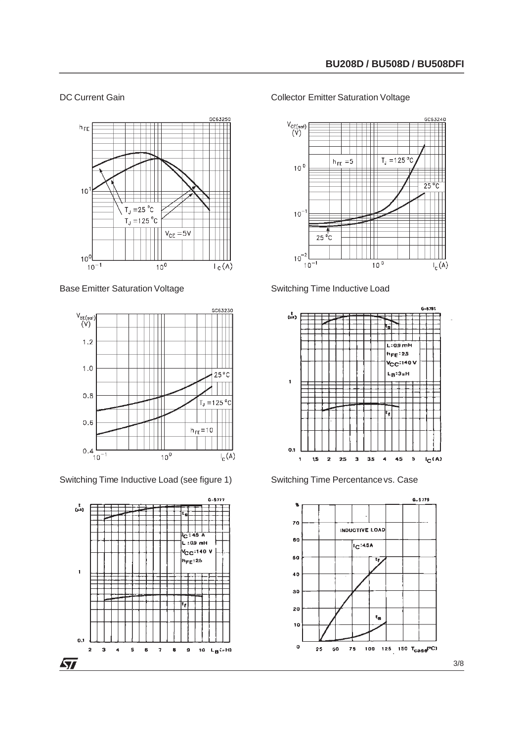#### DC Current Gain



Base Emitter Saturation Voltage



Switching Time Inductive Load (see figure 1)



#### Collector Emitter Saturation Voltage



Switching Time Inductive Load





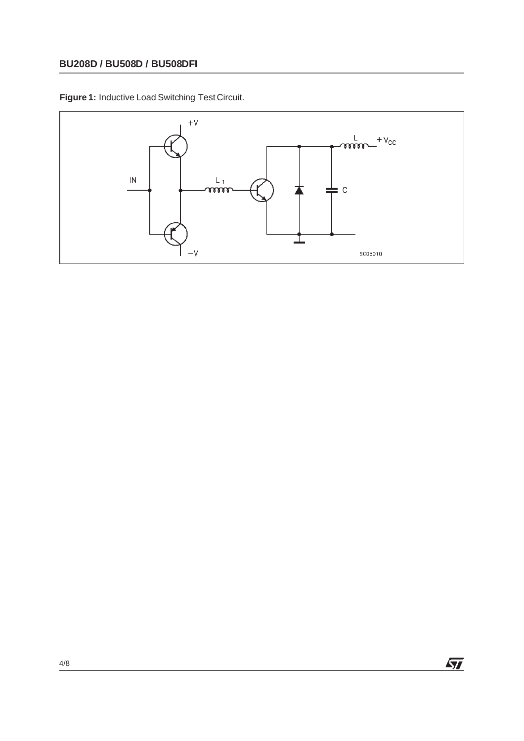**Figure 1:** Inductive Load Switching Test Circuit.



 $\sqrt{M}$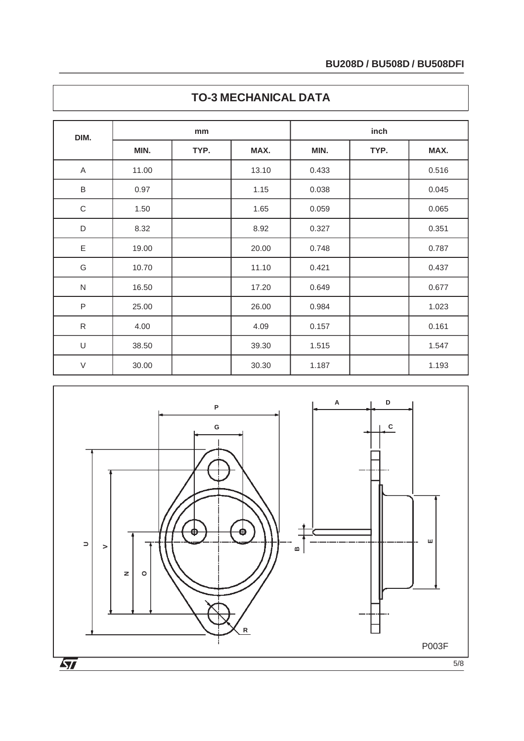| DIM.         | mm    |      |       | inch  |      |       |  |
|--------------|-------|------|-------|-------|------|-------|--|
|              | MIN.  | TYP. | MAX.  | MIN.  | TYP. | MAX.  |  |
| Α            | 11.00 |      | 13.10 | 0.433 |      | 0.516 |  |
| $\sf B$      | 0.97  |      | 1.15  | 0.038 |      | 0.045 |  |
| $\mathsf C$  | 1.50  |      | 1.65  | 0.059 |      | 0.065 |  |
| D            | 8.32  |      | 8.92  | 0.327 |      | 0.351 |  |
| E            | 19.00 |      | 20.00 | 0.748 |      | 0.787 |  |
| G            | 10.70 |      | 11.10 | 0.421 |      | 0.437 |  |
| $\mathsf{N}$ | 16.50 |      | 17.20 | 0.649 |      | 0.677 |  |
| $\sf P$      | 25.00 |      | 26.00 | 0.984 |      | 1.023 |  |
| ${\sf R}$    | 4.00  |      | 4.09  | 0.157 |      | 0.161 |  |
| $\cup$       | 38.50 |      | 39.30 | 1.515 |      | 1.547 |  |
| $\vee$       | 30.00 |      | 30.30 | 1.187 |      | 1.193 |  |

## **TO-3 MECHANICAL DATA**

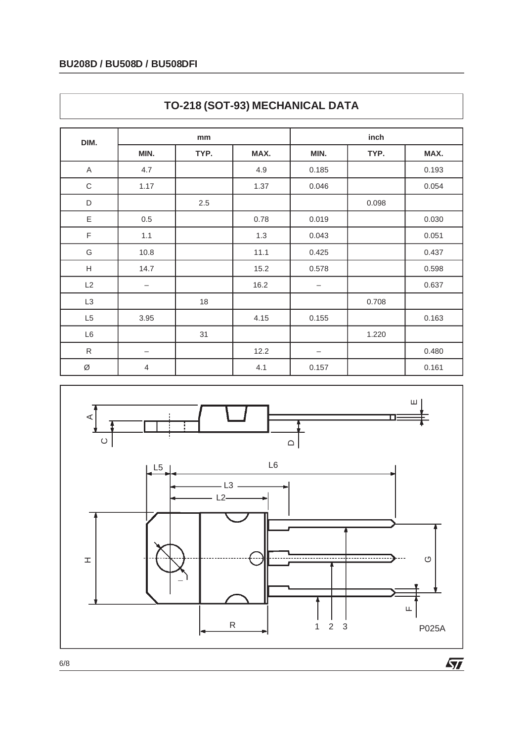| DIM.                      | mm                |      |      | inch                     |       |       |  |
|---------------------------|-------------------|------|------|--------------------------|-------|-------|--|
|                           | MIN.              | TYP. | MAX. | MIN.                     | TYP.  | MAX.  |  |
| A                         | 4.7               |      | 4.9  | 0.185                    |       | 0.193 |  |
| $\mathsf C$               | 1.17              |      | 1.37 | 0.046                    |       | 0.054 |  |
| D                         |                   | 2.5  |      |                          | 0.098 |       |  |
| Ε                         | 0.5               |      | 0.78 | 0.019                    |       | 0.030 |  |
| F                         | 1.1               |      | 1.3  | 0.043                    |       | 0.051 |  |
| G                         | 10.8              |      | 11.1 | 0.425                    |       | 0.437 |  |
| $\boldsymbol{\mathsf{H}}$ | 14.7              |      | 15.2 | 0.578                    |       | 0.598 |  |
| L2                        | —                 |      | 16.2 | $\overline{\phantom{m}}$ |       | 0.637 |  |
| L3                        |                   | 18   |      |                          | 0.708 |       |  |
| L <sub>5</sub>            | 3.95              |      | 4.15 | 0.155                    |       | 0.163 |  |
| L <sub>6</sub>            |                   | 31   |      |                          | 1.220 |       |  |
| ${\sf R}$                 | $\qquad \qquad -$ |      | 12.2 | —                        |       | 0.480 |  |
| Ø                         | $\overline{4}$    |      | 4.1  | 0.157                    |       | 0.161 |  |





6/8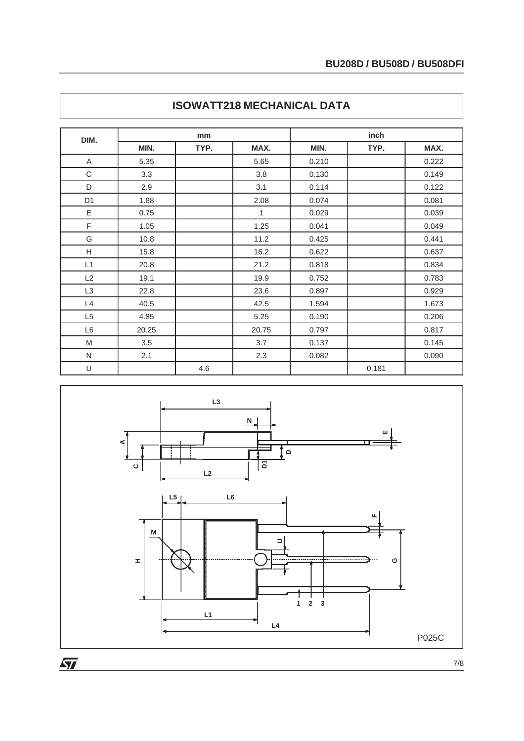| DIM.           | mm    |      |       | inch  |       |       |  |
|----------------|-------|------|-------|-------|-------|-------|--|
|                | MIN.  | TYP. | MAX.  | MIN.  | TYP.  | MAX.  |  |
| A              | 5.35  |      | 5.65  | 0.210 |       | 0.222 |  |
| C              | 3.3   |      | 3.8   | 0.130 |       | 0.149 |  |
| D              | 2.9   |      | 3.1   | 0.114 |       | 0.122 |  |
| D <sub>1</sub> | 1.88  |      | 2.08  | 0.074 |       | 0.081 |  |
| E              | 0.75  |      | 1     | 0.029 |       | 0.039 |  |
| F              | 1.05  |      | 1.25  | 0.041 |       | 0.049 |  |
| G              | 10.8  |      | 11.2  | 0.425 |       | 0.441 |  |
| H              | 15.8  |      | 16.2  | 0.622 |       | 0.637 |  |
| L1             | 20.8  |      | 21.2  | 0.818 |       | 0.834 |  |
| L2             | 19.1  |      | 19.9  | 0.752 |       | 0.783 |  |
| L <sub>3</sub> | 22.8  |      | 23.6  | 0.897 |       | 0.929 |  |
| L4             | 40.5  |      | 42.5  | 1.594 |       | 1.673 |  |
| L <sub>5</sub> | 4.85  |      | 5.25  | 0.190 |       | 0.206 |  |
| L <sub>6</sub> | 20.25 |      | 20.75 | 0.797 |       | 0.817 |  |
| M              | 3.5   |      | 3.7   | 0.137 |       | 0.145 |  |
| N              | 2.1   |      | 2.3   | 0.082 |       | 0.090 |  |
| U              |       | 4.6  |       |       | 0.181 |       |  |

## **ISOWATT218 MECHANICAL DATA**



7/8